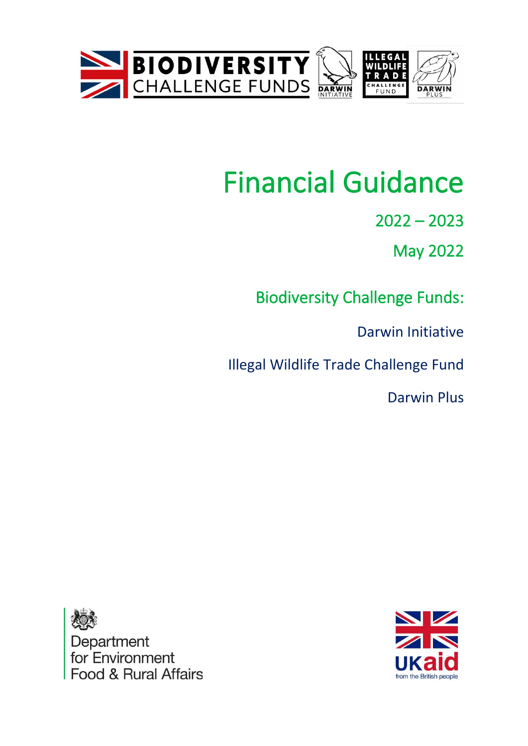



# Financial Guidance

2022 – 2023

May 2022

Biodiversity Challenge Funds:

Darwin Initiative

Illegal Wildlife Trade Challenge Fund

Darwin Plus



Department<br>for Environment **Food & Rural Affairs**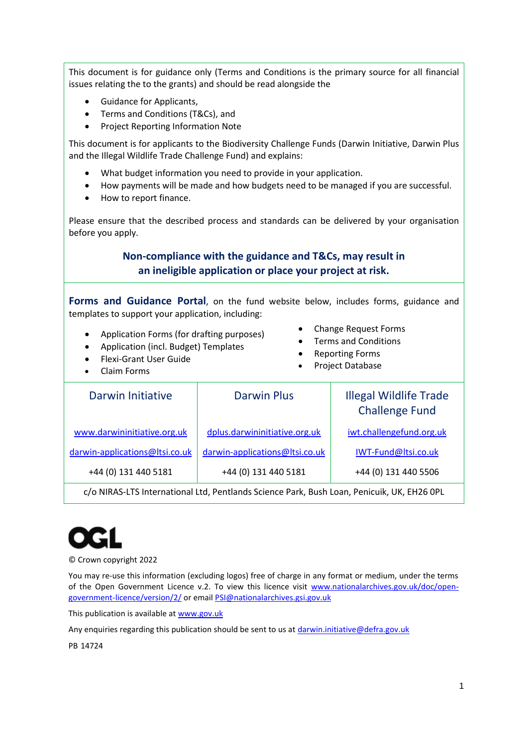This document is for guidance only (Terms and Conditions is the primary source for all financial issues relating the to the grants) and should be read alongside the

- Guidance for Applicants,
- Terms and Conditions (T&Cs), and
- Project Reporting Information Note

This document is for applicants to the Biodiversity Challenge Funds (Darwin Initiative, Darwin Plus and the Illegal Wildlife Trade Challenge Fund) and explains:

- What budget information you need to provide in your application.
- How payments will be made and how budgets need to be managed if you are successful.
- How to report finance.

Please ensure that the described process and standards can be delivered by your organisation before you apply.

#### **Non-compliance with the guidance and T&Cs, may result in an ineligible application or place your project at risk.**

**Forms and Guidance Portal**, on the fund website below, includes forms, guidance and templates to support your application, including:

- Application Forms (for drafting purposes)
- Application (incl. Budget) Templates
- Flexi-Grant User Guide
- Claim Forms
- Change Request Forms
- Terms and Conditions
- Reporting Forms
- Project Database

| Darwin Initiative              | Darwin Plus                    | <b>Illegal Wildlife Trade</b><br><b>Challenge Fund</b> |
|--------------------------------|--------------------------------|--------------------------------------------------------|
| www.darwininitiative.org.uk    | dplus.darwininitiative.org.uk  | iwt.challengefund.org.uk                               |
| darwin-applications@ltsi.co.uk | darwin-applications@Itsi.co.uk | IWT-Fund@ltsi.co.uk                                    |
| +44 (0) 131 440 5181           | +44 (0) 131 440 5181           | +44 (0) 131 440 5506                                   |

c/o NIRAS-LTS International Ltd, Pentlands Science Park, Bush Loan, Penicuik, UK, EH26 0PL

© Crown copyright 2022

You may re-use this information (excluding logos) free of charge in any format or medium, under the terms of the Open Government Licence v.2. To view this licence visit [www.nationalarchives.gov.uk/doc/open](http://www.nationalarchives.gov.uk/doc/open-government-licence/version/2/)[government-licence/version/2/](http://www.nationalarchives.gov.uk/doc/open-government-licence/version/2/) or emai[l PSI@nationalarchives.gsi.gov.uk](mailto:PSI@nationalarchives.gsi.gov.uk)

This publication is available at [www.gov.uk](https://www.gov.uk/)

Any enquiries regarding this publication should be sent to us a[t darwin.initiative@defra.gov.uk](mailto:darwin.initiative@defra.gov.uk)

PB 14724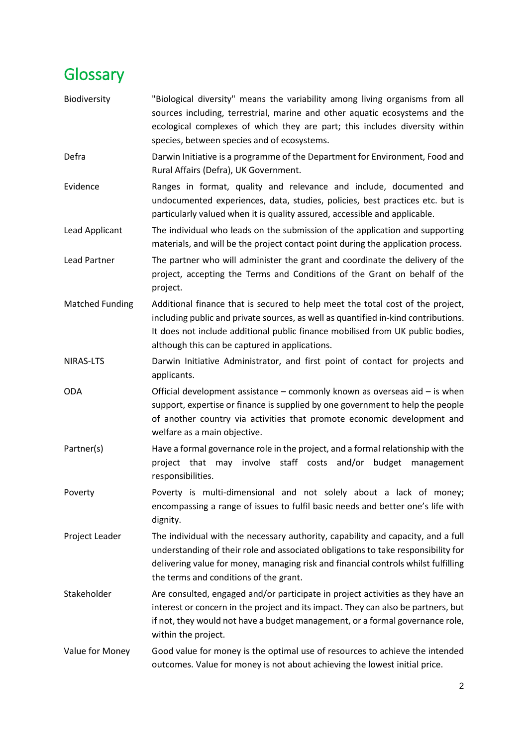### <span id="page-2-0"></span>Glossary

- Biodiversity "Biological diversity" means the variability among living organisms from all sources including, terrestrial, marine and other aquatic ecosystems and the ecological complexes of which they are part; this includes diversity within species, between species and of ecosystems. Defra Darwin Initiative is a programme of the Department for Environment, Food and Rural Affairs (Defra), UK Government. Evidence **Ranges** in format, quality and relevance and include, documented and undocumented experiences, data, studies, policies, best practices etc. but is particularly valued when it is quality assured, accessible and applicable. Lead Applicant The individual who leads on the submission of the application and supporting materials, and will be the project contact point during the application process. Lead Partner The partner who will administer the grant and coordinate the delivery of the project, accepting the Terms and Conditions of the Grant on behalf of the project. Matched Funding Additional finance that is secured to help meet the total cost of the project, including public and private sources, as well as quantified in-kind contributions. It does not include additional public finance mobilised from UK public bodies, although this can be captured in applications.
- NIRAS-LTS Darwin Initiative Administrator, and first point of contact for projects and applicants.
- ODA Official development assistance commonly known as overseas aid is when support, expertise or finance is supplied by one government to help the people of another country via activities that promote economic development and welfare as a main objective.
- Partner(s) Have a formal governance role in the project, and a formal relationship with the project that may involve staff costs and/or budget management responsibilities.
- Poverty **Poverty** is multi-dimensional and not solely about a lack of money; encompassing a range of issues to fulfil basic needs and better one's life with dignity.
- Project Leader The individual with the necessary authority, capability and capacity, and a full understanding of their role and associated obligations to take responsibility for delivering value for money, managing risk and financial controls whilst fulfilling the terms and conditions of the grant.
- Stakeholder **Are consulted, engaged and/or participate in project activities as they have an** interest or concern in the project and its impact. They can also be partners, but if not, they would not have a budget management, or a formal governance role, within the project.
- Value for Money Good value for money is the optimal use of resources to achieve the intended outcomes. Value for money is not about achieving the lowest initial price.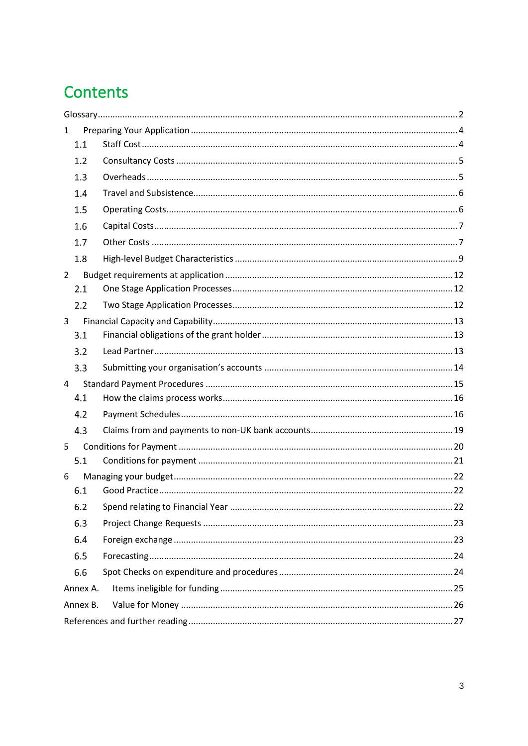## Contents

| 1              |  |
|----------------|--|
| 1.1            |  |
| 1.2            |  |
| 1.3            |  |
| 1.4            |  |
| 1.5            |  |
| 1.6            |  |
| 1.7            |  |
| 1.8            |  |
| $\overline{2}$ |  |
| 2.1            |  |
| 2.2            |  |
| 3              |  |
| 3.1            |  |
| 3.2            |  |
| 3.3            |  |
| 4              |  |
| 4.1            |  |
| 4.2            |  |
| 4.3            |  |
| 5              |  |
| 5.1            |  |
| 6              |  |
| 6.1            |  |
|                |  |
| 6.3            |  |
| 6.4            |  |
| 6.5            |  |
| 6.6            |  |
| Annex A.       |  |
| Annex B.       |  |
|                |  |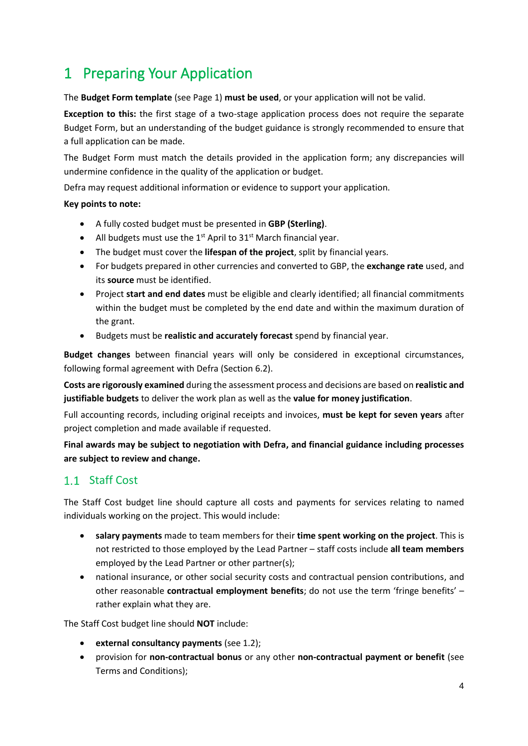### <span id="page-4-0"></span>1 Preparing Your Application

The **Budget Form template** (see Page 1) **must be used**, or your application will not be valid.

**Exception to this:** the first stage of a two-stage application process does not require the separate Budget Form, but an understanding of the budget guidance is strongly recommended to ensure that a full application can be made.

The Budget Form must match the details provided in the application form; any discrepancies will undermine confidence in the quality of the application or budget.

Defra may request additional information or evidence to support your application.

#### **Key points to note:**

- A fully costed budget must be presented in **GBP (Sterling)**.
- All budgets must use the  $1^{st}$  April to  $31^{st}$  March financial year.
- The budget must cover the **lifespan of the project**, split by financial years.
- For budgets prepared in other currencies and converted to GBP, the **exchange rate** used, and its **source** must be identified.
- Project **start and end dates** must be eligible and clearly identified; all financial commitments within the budget must be completed by the end date and within the maximum duration of the grant.
- Budgets must be **realistic and accurately forecast** spend by financial year.

**Budget changes** between financial years will only be considered in exceptional circumstances, following formal agreement with Defra (Sectio[n 6.2\)](#page-22-2).

**Costs are rigorously examined** during the assessment process and decisions are based on **realistic and justifiable budgets** to deliver the work plan as well as the **value for money justification**.

Full accounting records, including original receipts and invoices, **must be kept for seven years** after project completion and made available if requested.

**Final awards may be subject to negotiation with Defra, and financial guidance including processes are subject to review and change.**

#### <span id="page-4-1"></span>1.1 Staff Cost

The Staff Cost budget line should capture all costs and payments for services relating to named individuals working on the project. This would include:

- **salary payments** made to team members for their **time spent working on the project**. This is not restricted to those employed by the Lead Partner – staff costs include **all team members** employed by the Lead Partner or other partner(s);
- national insurance, or other social security costs and contractual pension contributions, and other reasonable **contractual employment benefits**; do not use the term 'fringe benefits' – rather explain what they are.

The Staff Cost budget line should **NOT** include:

- **external consultancy payments** (see [1.2\)](#page-5-0);
- provision for **non-contractual bonus** or any other **non-contractual payment or benefit** (see Terms and Conditions);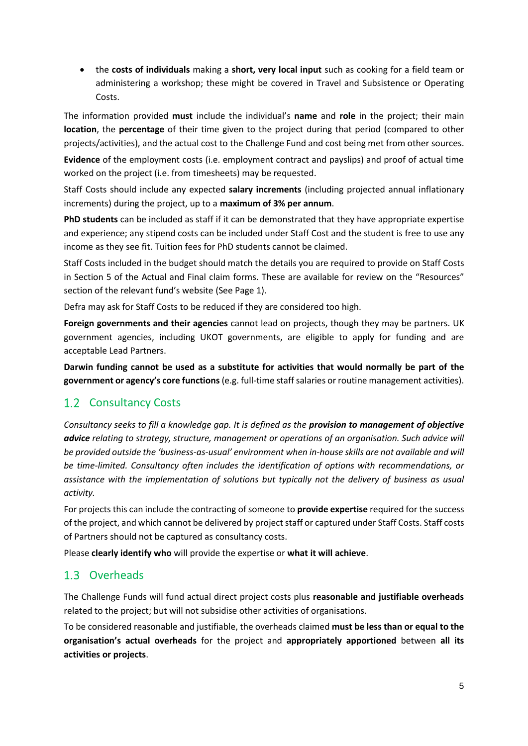• the **costs of individuals** making a **short, very local input** such as cooking for a field team or administering a workshop; these might be covered in Travel and Subsistence or Operating Costs.

The information provided **must** include the individual's **name** and **role** in the project; their main **location**, the **percentage** of their time given to the project during that period (compared to other projects/activities), and the actual cost to the Challenge Fund and cost being met from other sources.

**Evidence** of the employment costs (i.e. employment contract and payslips) and proof of actual time worked on the project (i.e. from timesheets) may be requested.

Staff Costs should include any expected **salary increments** (including projected annual inflationary increments) during the project, up to a **maximum of 3% per annum**.

**PhD students** can be included as staff if it can be demonstrated that they have appropriate expertise and experience; any stipend costs can be included under Staff Cost and the student is free to use any income as they see fit. Tuition fees for PhD students cannot be claimed.

Staff Costs included in the budget should match the details you are required to provide on Staff Costs in Section 5 of the Actual and Final claim forms. These are available for review on the "Resources" section of the relevant fund's website (See Page 1).

Defra may ask for Staff Costs to be reduced if they are considered too high.

**Foreign governments and their agencies** cannot lead on projects, though they may be partners. UK government agencies, including UKOT governments, are eligible to apply for funding and are acceptable Lead Partners.

**Darwin funding cannot be used as a substitute for activities that would normally be part of the government or agency's core functions** (e.g. full-time staff salaries or routine management activities).

#### <span id="page-5-0"></span>1.2 Consultancy Costs

*Consultancy seeks to fill a knowledge gap. It is defined as the provision to management of objective advice relating to strategy, structure, management or operations of an organisation. Such advice will be provided outside the 'business-as-usual' environment when in-house skills are not available and will be time-limited. Consultancy often includes the identification of options with recommendations, or assistance with the implementation of solutions but typically not the delivery of business as usual activity.*

For projects this can include the contracting of someone to **provide expertise** required for the success of the project, and which cannot be delivered by project staff or captured under Staff Costs. Staff costs of Partners should not be captured as consultancy costs.

Please **clearly identify who** will provide the expertise or **what it will achieve**.

#### <span id="page-5-1"></span>1.3 Overheads

The Challenge Funds will fund actual direct project costs plus **reasonable and justifiable overheads** related to the project; but will not subsidise other activities of organisations.

To be considered reasonable and justifiable, the overheads claimed **must be less than or equal to the organisation's actual overheads** for the project and **appropriately apportioned** between **all its activities or projects**.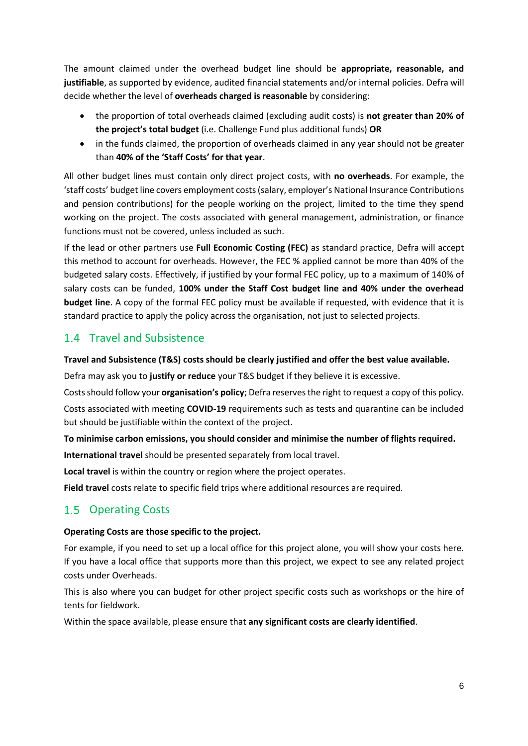The amount claimed under the overhead budget line should be **appropriate, reasonable, and justifiable**, as supported by evidence, audited financial statements and/or internal policies. Defra will decide whether the level of **overheads charged is reasonable** by considering:

- the proportion of total overheads claimed (excluding audit costs) is **not greater than 20% of the project's total budget** (i.e. Challenge Fund plus additional funds) **OR**
- in the funds claimed, the proportion of overheads claimed in any year should not be greater than **40% of the 'Staff Costs' for that year**.

All other budget lines must contain only direct project costs, with **no overheads**. For example, the 'staff costs' budget line covers employment costs (salary, employer's National Insurance Contributions and pension contributions) for the people working on the project, limited to the time they spend working on the project. The costs associated with general management, administration, or finance functions must not be covered, unless included as such.

If the lead or other partners use **Full Economic Costing (FEC)** as standard practice, Defra will accept this method to account for overheads. However, the FEC % applied cannot be more than 40% of the budgeted salary costs. Effectively, if justified by your formal FEC policy, up to a maximum of 140% of salary costs can be funded, **100% under the Staff Cost budget line and 40% under the overhead budget line**. A copy of the formal FEC policy must be available if requested, with evidence that it is standard practice to apply the policy across the organisation, not just to selected projects.

#### <span id="page-6-0"></span>1.4 Travel and Subsistence

#### **Travel and Subsistence (T&S) costs should be clearly justified and offer the best value available.**

Defra may ask you to **justify or reduce** your T&S budget if they believe it is excessive.

Costs should follow your **organisation's policy**; Defra reserves the right to request a copy of this policy. Costs associated with meeting **COVID-19** requirements such as tests and quarantine can be included but should be justifiable within the context of the project.

#### **To minimise carbon emissions, you should consider and minimise the number of flights required.**

**International travel** should be presented separately from local travel.

**Local travel** is within the country or region where the project operates.

**Field travel** costs relate to specific field trips where additional resources are required.

#### <span id="page-6-1"></span>1.5 Operating Costs

#### **Operating Costs are those specific to the project.**

For example, if you need to set up a local office for this project alone, you will show your costs here. If you have a local office that supports more than this project, we expect to see any related project costs under Overheads.

This is also where you can budget for other project specific costs such as workshops or the hire of tents for fieldwork.

Within the space available, please ensure that **any significant costs are clearly identified**.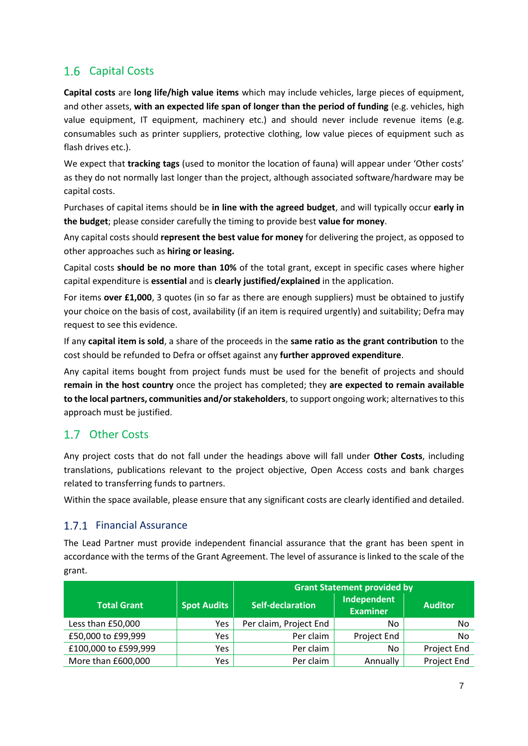#### <span id="page-7-0"></span>1.6 Capital Costs

**Capital costs** are **long life/high value items** which may include vehicles, large pieces of equipment, and other assets, **with an expected life span of longer than the period of funding** (e.g. vehicles, high value equipment, IT equipment, machinery etc.) and should never include revenue items (e.g. consumables such as printer suppliers, protective clothing, low value pieces of equipment such as flash drives etc.).

We expect that **tracking tags** (used to monitor the location of fauna) will appear under 'Other costs' as they do not normally last longer than the project, although associated software/hardware may be capital costs.

Purchases of capital items should be **in line with the agreed budget**, and will typically occur **early in the budget**; please consider carefully the timing to provide best **value for money**.

Any capital costs should **represent the best value for money** for delivering the project, as opposed to other approaches such as **hiring or leasing.** 

Capital costs **should be no more than 10%** of the total grant, except in specific cases where higher capital expenditure is **essential** and is **clearly justified/explained** in the application.

For items **over £1,000**, 3 quotes (in so far as there are enough suppliers) must be obtained to justify your choice on the basis of cost, availability (if an item is required urgently) and suitability; Defra may request to see this evidence.

If any **capital item is sold**, a share of the proceeds in the **same ratio as the grant contribution** to the cost should be refunded to Defra or offset against any **further approved expenditure**.

Any capital items bought from project funds must be used for the benefit of projects and should **remain in the host country** once the project has completed; they **are expected to remain available to the local partners, communities and/or stakeholders**, to support ongoing work; alternatives to this approach must be justified.

#### <span id="page-7-1"></span>1.7 Other Costs

Any project costs that do not fall under the headings above will fall under **Other Costs**, including translations, publications relevant to the project objective, Open Access costs and bank charges related to transferring funds to partners.

Within the space available, please ensure that any significant costs are clearly identified and detailed.

#### 1.7.1 Financial Assurance

The Lead Partner must provide independent financial assurance that the grant has been spent in accordance with the terms of the Grant Agreement. The level of assurance is linked to the scale of the grant.

|                      |                    | <b>Grant Statement provided by</b> |                                |                |
|----------------------|--------------------|------------------------------------|--------------------------------|----------------|
| <b>Total Grant</b>   | <b>Spot Audits</b> | Self-declaration                   | Independent<br><b>Examiner</b> | <b>Auditor</b> |
| Less than £50,000    | Yes                | Per claim, Project End             | No                             | No             |
| £50,000 to £99,999   | <b>Yes</b>         | Per claim                          | Project End                    | No             |
| £100,000 to £599,999 | Yes                | Per claim                          | No                             | Project End    |
| More than £600,000   | <b>Yes</b>         | Per claim                          | Annually                       | Project End    |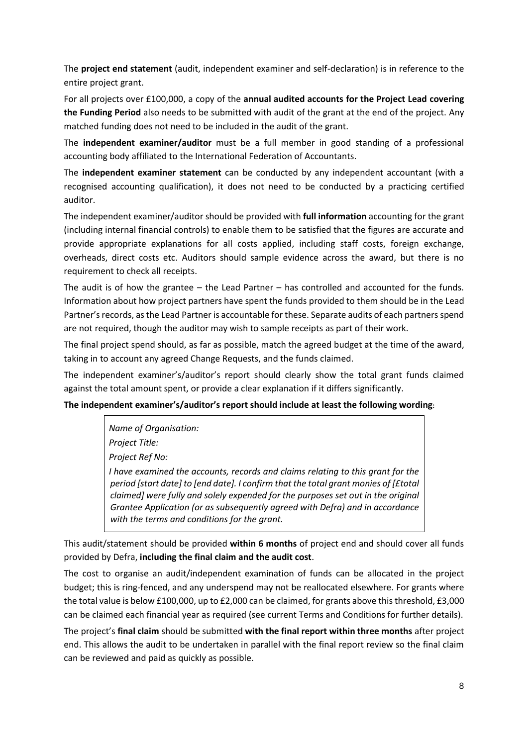The **project end statement** (audit, independent examiner and self-declaration) is in reference to the entire project grant.

For all projects over £100,000, a copy of the **annual audited accounts for the Project Lead covering the Funding Period** also needs to be submitted with audit of the grant at the end of the project. Any matched funding does not need to be included in the audit of the grant.

The **independent examiner/auditor** must be a full member in good standing of a professional accounting body affiliated to the International Federation of Accountants.

The **independent examiner statement** can be conducted by any independent accountant (with a recognised accounting qualification), it does not need to be conducted by a practicing certified auditor.

The independent examiner/auditor should be provided with **full information** accounting for the grant (including internal financial controls) to enable them to be satisfied that the figures are accurate and provide appropriate explanations for all costs applied, including staff costs, foreign exchange, overheads, direct costs etc. Auditors should sample evidence across the award, but there is no requirement to check all receipts.

The audit is of how the grantee – the Lead Partner – has controlled and accounted for the funds. Information about how project partners have spent the funds provided to them should be in the Lead Partner's records, as the Lead Partner is accountable for these. Separate audits of each partners spend are not required, though the auditor may wish to sample receipts as part of their work.

The final project spend should, as far as possible, match the agreed budget at the time of the award, taking in to account any agreed Change Requests, and the funds claimed.

The independent examiner's/auditor's report should clearly show the total grant funds claimed against the total amount spent, or provide a clear explanation if it differs significantly.

#### **The independent examiner's/auditor's report should include at least the following wording:**

*Name of Organisation: Project Title:*

*Project Ref No:*

*I have examined the accounts, records and claims relating to this grant for the period [start date] to [end date]. I confirm that the total grant monies of [£total claimed] were fully and solely expended for the purposes set out in the original Grantee Application (or as subsequently agreed with Defra) and in accordance with the terms and conditions for the grant.*

This audit/statement should be provided **within 6 months** of project end and should cover all funds provided by Defra, **including the final claim and the audit cost**.

The cost to organise an audit/independent examination of funds can be allocated in the project budget; this is ring-fenced, and any underspend may not be reallocated elsewhere. For grants where the total value is below £100,000, up to £2,000 can be claimed, for grants above this threshold, £3,000 can be claimed each financial year as required (see current Terms and Conditions for further details).

The project's **final claim** should be submitted **with the final report within three months** after project end. This allows the audit to be undertaken in parallel with the final report review so the final claim can be reviewed and paid as quickly as possible.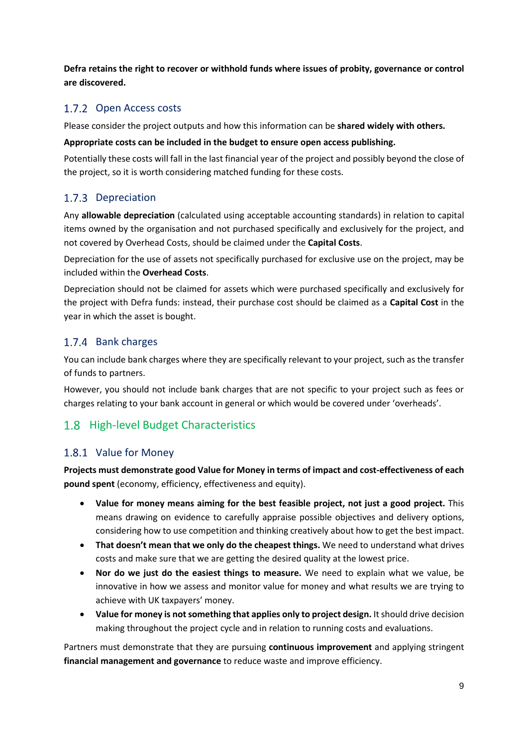**Defra retains the right to recover or withhold funds where issues of probity, governance or control are discovered.**

#### 1.7.2 Open Access costs

Please consider the project outputs and how this information can be **shared widely with others.** 

#### **Appropriate costs can be included in the budget to ensure open access publishing.**

Potentially these costs will fall in the last financial year of the project and possibly beyond the close of the project, so it is worth considering matched funding for these costs.

#### 1.7.3 Depreciation

Any **allowable depreciation** (calculated using acceptable accounting standards) in relation to capital items owned by the organisation and not purchased specifically and exclusively for the project, and not covered by Overhead Costs, should be claimed under the **Capital Costs**.

Depreciation for the use of assets not specifically purchased for exclusive use on the project, may be included within the **Overhead Costs**.

Depreciation should not be claimed for assets which were purchased specifically and exclusively for the project with Defra funds: instead, their purchase cost should be claimed as a **Capital Cost** in the year in which the asset is bought.

#### 1.7.4 Bank charges

You can include bank charges where they are specifically relevant to your project, such as the transfer of funds to partners.

However, you should not include bank charges that are not specific to your project such as fees or charges relating to your bank account in general or which would be covered under 'overheads'.

### <span id="page-9-0"></span>1.8 High-level Budget Characteristics

#### 1.8.1 Value for Money

**Projects must demonstrate good Value for Money in terms of impact and cost-effectiveness of each pound spent** (economy, efficiency, effectiveness and equity).

- **Value for money means aiming for the best feasible project, not just a good project.** This means drawing on evidence to carefully appraise possible objectives and delivery options, considering how to use competition and thinking creatively about how to get the best impact.
- **That doesn't mean that we only do the cheapest things.** We need to understand what drives costs and make sure that we are getting the desired quality at the lowest price.
- **Nor do we just do the easiest things to measure.** We need to explain what we value, be innovative in how we assess and monitor value for money and what results we are trying to achieve with UK taxpayers' money.
- **Value for money is not something that applies only to project design.** It should drive decision making throughout the project cycle and in relation to running costs and evaluations.

Partners must demonstrate that they are pursuing **continuous improvement** and applying stringent **financial management and governance** to reduce waste and improve efficiency.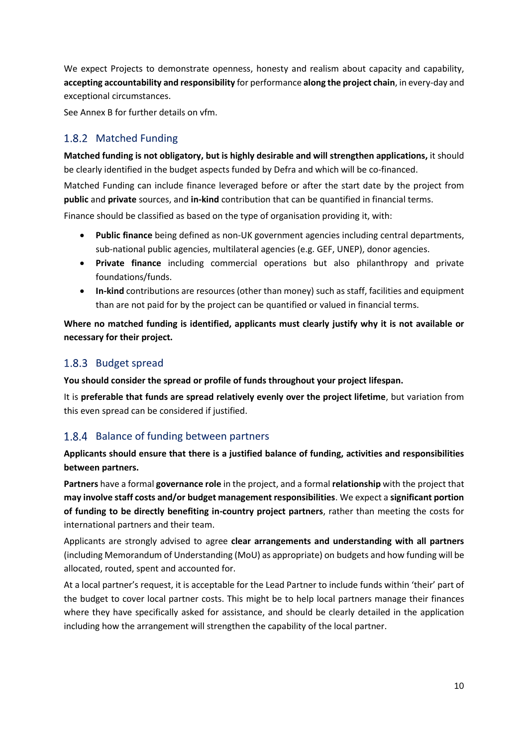We expect Projects to demonstrate openness, honesty and realism about capacity and capability, **accepting accountability and responsibility** for performance **along the project chain**, in every-day and exceptional circumstances.

Se[e Annex B](#page-26-0) for further details on vfm.

#### 1.8.2 Matched Funding

**Matched funding is not obligatory, but is highly desirable and will strengthen applications,** it should be clearly identified in the budget aspects funded by Defra and which will be co-financed.

Matched Funding can include finance leveraged before or after the start date by the project from **public** and **private** sources, and **in-kind** contribution that can be quantified in financial terms.

Finance should be classified as based on the type of organisation providing it, with:

- **Public finance** being defined as non-UK government agencies including central departments, sub-national public agencies, multilateral agencies (e.g. GEF, UNEP), donor agencies.
- **Private finance** including commercial operations but also philanthropy and private foundations/funds.
- **In-kind** contributions are resources (other than money) such as staff, facilities and equipment than are not paid for by the project can be quantified or valued in financial terms.

**Where no matched funding is identified, applicants must clearly justify why it is not available or necessary for their project.**

#### 1.8.3 Budget spread

**You should consider the spread or profile of funds throughout your project lifespan.** 

It is **preferable that funds are spread relatively evenly over the project lifetime**, but variation from this even spread can be considered if justified.

#### 1.8.4 Balance of funding between partners

**Applicants should ensure that there is a justified balance of funding, activities and responsibilities between partners.** 

**Partners** have a formal **governance role** in the project, and a formal **relationship** with the project that **may involve staff costs and/or budget management responsibilities**. We expect a **significant portion of funding to be directly benefiting in-country project partners**, rather than meeting the costs for international partners and their team.

Applicants are strongly advised to agree **clear arrangements and understanding with all partners** (including Memorandum of Understanding (MoU) as appropriate) on budgets and how funding will be allocated, routed, spent and accounted for.

At a local partner's request, it is acceptable for the Lead Partner to include funds within 'their' part of the budget to cover local partner costs. This might be to help local partners manage their finances where they have specifically asked for assistance, and should be clearly detailed in the application including how the arrangement will strengthen the capability of the local partner.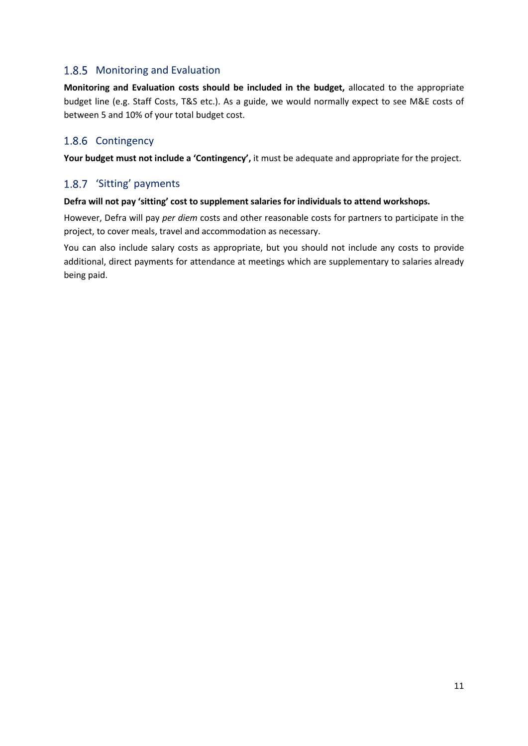#### 1.8.5 Monitoring and Evaluation

**Monitoring and Evaluation costs should be included in the budget,** allocated to the appropriate budget line (e.g. Staff Costs, T&S etc.). As a guide, we would normally expect to see M&E costs of between 5 and 10% of your total budget cost.

#### 1.8.6 Contingency

**Your budget must not include a 'Contingency',** it must be adequate and appropriate for the project.

#### 1.8.7 'Sitting' payments

#### **Defra will not pay 'sitting' cost to supplement salaries for individuals to attend workshops.**

However, Defra will pay *per diem* costs and other reasonable costs for partners to participate in the project, to cover meals, travel and accommodation as necessary.

You can also include salary costs as appropriate, but you should not include any costs to provide additional, direct payments for attendance at meetings which are supplementary to salaries already being paid.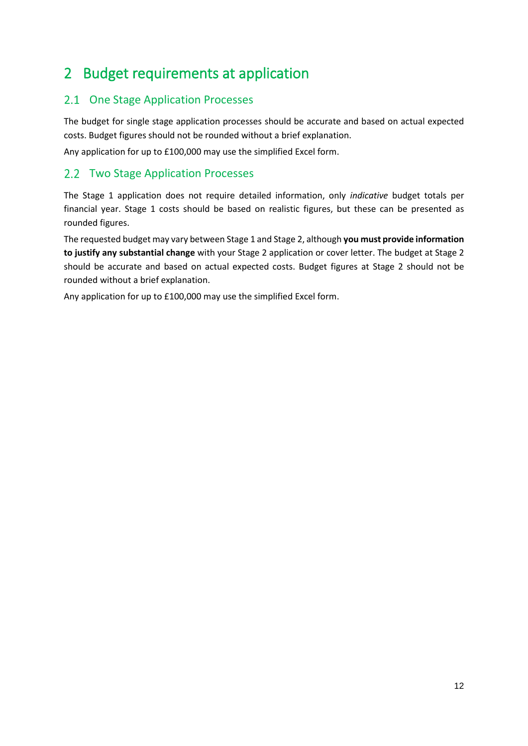### <span id="page-12-0"></span>2 Budget requirements at application

#### <span id="page-12-1"></span>2.1 One Stage Application Processes

The budget for single stage application processes should be accurate and based on actual expected costs. Budget figures should not be rounded without a brief explanation.

Any application for up to £100,000 may use the simplified Excel form.

#### <span id="page-12-2"></span>2.2 Two Stage Application Processes

The Stage 1 application does not require detailed information, only *indicative* budget totals per financial year. Stage 1 costs should be based on realistic figures, but these can be presented as rounded figures.

The requested budget may vary between Stage 1 and Stage 2, although **you must provide information to justify any substantial change** with your Stage 2 application or cover letter. The budget at Stage 2 should be accurate and based on actual expected costs. Budget figures at Stage 2 should not be rounded without a brief explanation.

Any application for up to £100,000 may use the simplified Excel form.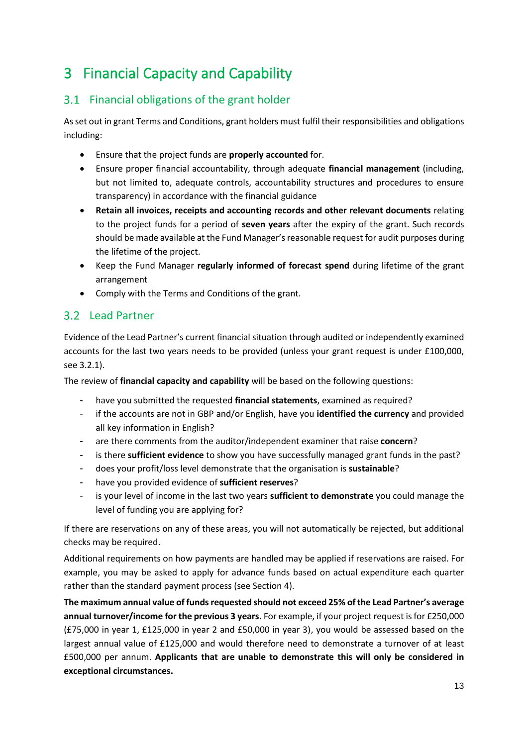### <span id="page-13-0"></span>3 Financial Capacity and Capability

### <span id="page-13-1"></span>3.1 Financial obligations of the grant holder

As set out in grant Terms and Conditions, grant holders must fulfil their responsibilities and obligations including:

- Ensure that the project funds are **properly accounted** for.
- Ensure proper financial accountability, through adequate **financial management** (including, but not limited to, adequate controls, accountability structures and procedures to ensure transparency) in accordance with the financial guidance
- **Retain all invoices, receipts and accounting records and other relevant documents** relating to the project funds for a period of **seven years** after the expiry of the grant. Such records should be made available at the Fund Manager's reasonable request for audit purposes during the lifetime of the project.
- Keep the Fund Manager **regularly informed of forecast spend** during lifetime of the grant arrangement
- Comply with the Terms and Conditions of the grant.

#### <span id="page-13-2"></span>3.2 Lead Partner

Evidence of the Lead Partner's current financial situation through audited or independently examined accounts for the last two years needs to be provided (unless your grant request is under £100,000, se[e 3.2.1\)](#page-14-1).

The review of **financial capacity and capability** will be based on the following questions:

- have you submitted the requested **financial statements**, examined as required?
- if the accounts are not in GBP and/or English, have you **identified the currency** and provided all key information in English?
- are there comments from the auditor/independent examiner that raise **concern**?
- is there sufficient evidence to show you have successfully managed grant funds in the past?
- does your profit/loss level demonstrate that the organisation is **sustainable**?
- have you provided evidence of **sufficient reserves**?
- is your level of income in the last two years **sufficient to demonstrate** you could manage the level of funding you are applying for?

If there are reservations on any of these areas, you will not automatically be rejected, but additional checks may be required.

Additional requirements on how payments are handled may be applied if reservations are raised. For example, you may be asked to apply for advance funds based on actual expenditure each quarter rather than the standard payment process (see Section [4\)](#page-15-0).

**The maximum annual value of funds requested should not exceed 25% of the Lead Partner's average annual turnover/income for the previous 3 years.** For example, if your project request is for £250,000 (£75,000 in year 1, £125,000 in year 2 and £50,000 in year 3), you would be assessed based on the largest annual value of £125,000 and would therefore need to demonstrate a turnover of at least £500,000 per annum. **Applicants that are unable to demonstrate this will only be considered in exceptional circumstances.**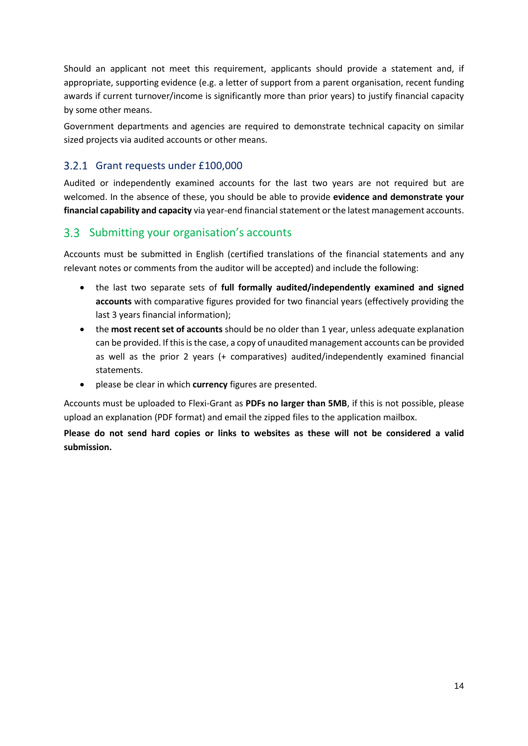Should an applicant not meet this requirement, applicants should provide a statement and, if appropriate, supporting evidence (e.g. a letter of support from a parent organisation, recent funding awards if current turnover/income is significantly more than prior years) to justify financial capacity by some other means.

Government departments and agencies are required to demonstrate technical capacity on similar sized projects via audited accounts or other means.

#### <span id="page-14-1"></span>Grant requests under £100,000

Audited or independently examined accounts for the last two years are not required but are welcomed. In the absence of these, you should be able to provide **evidence and demonstrate your financial capability and capacity** via year-end financial statement or the latest management accounts.

#### <span id="page-14-0"></span>Submitting your organisation's accounts

Accounts must be submitted in English (certified translations of the financial statements and any relevant notes or comments from the auditor will be accepted) and include the following:

- the last two separate sets of **full formally audited/independently examined and signed accounts** with comparative figures provided for two financial years (effectively providing the last 3 years financial information);
- the **most recent set of accounts** should be no older than 1 year, unless adequate explanation can be provided. If this is the case, a copy of unaudited management accounts can be provided as well as the prior 2 years (+ comparatives) audited/independently examined financial statements.
- please be clear in which **currency** figures are presented.

Accounts must be uploaded to Flexi-Grant as **PDFs no larger than 5MB**, if this is not possible, please upload an explanation (PDF format) and email the zipped files to the application mailbox.

**Please do not send hard copies or links to websites as these will not be considered a valid submission.**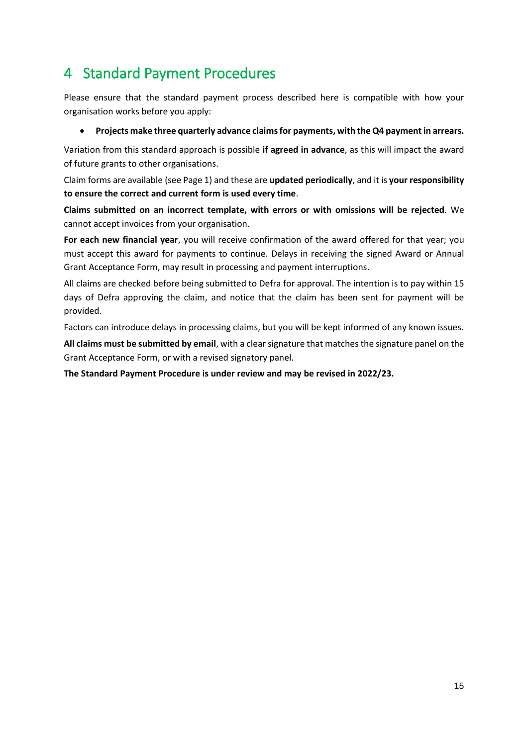### <span id="page-15-0"></span>4 Standard Payment Procedures

Please ensure that the standard payment process described here is compatible with how your organisation works before you apply:

#### • **Projects make three quarterly advance claims for payments, with the Q4 payment in arrears.**

Variation from this standard approach is possible **if agreed in advance**, as this will impact the award of future grants to other organisations.

Claim forms are available (see Page 1) and these are **updated periodically**, and it is **your responsibility to ensure the correct and current form is used every time**.

**Claims submitted on an incorrect template, with errors or with omissions will be rejected**. We cannot accept invoices from your organisation.

**For each new financial year**, you will receive confirmation of the award offered for that year; you must accept this award for payments to continue. Delays in receiving the signed Award or Annual Grant Acceptance Form, may result in processing and payment interruptions.

All claims are checked before being submitted to Defra for approval. The intention is to pay within 15 days of Defra approving the claim, and notice that the claim has been sent for payment will be provided.

Factors can introduce delays in processing claims, but you will be kept informed of any known issues.

**All claims must be submitted by email**, with a clear signature that matches the signature panel on the Grant Acceptance Form, or with a revised signatory panel.

**The Standard Payment Procedure is under review and may be revised in 2022/23.**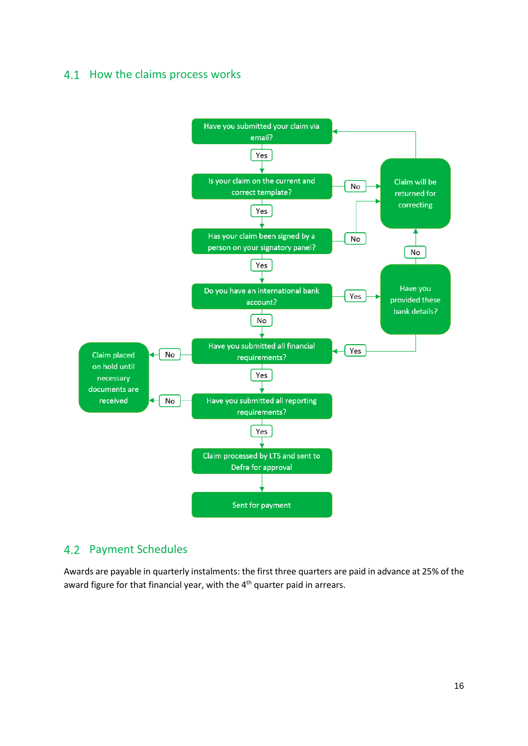#### <span id="page-16-0"></span>4.1 How the claims process works



#### <span id="page-16-1"></span>4.2 Payment Schedules

Awards are payable in quarterly instalments: the first three quarters are paid in advance at 25% of the award figure for that financial year, with the 4<sup>th</sup> quarter paid in arrears.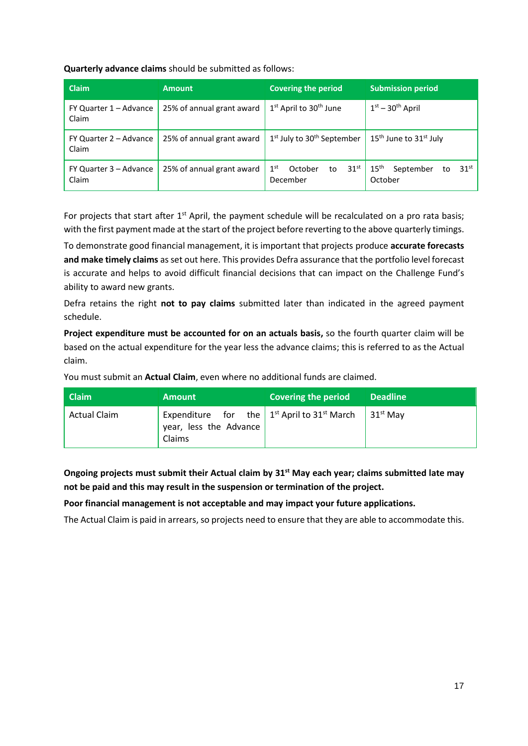**Quarterly advance claims** should be submitted as follows:

| <b>Claim</b>                    | <b>Amount</b>             | <b>Covering the period</b>                                       | <b>Submission period</b>                                           |
|---------------------------------|---------------------------|------------------------------------------------------------------|--------------------------------------------------------------------|
| FY Quarter 1 – Advance<br>Claim | 25% of annual grant award | 1 <sup>st</sup> April to 30 <sup>th</sup> June                   | $1st - 30th$ April                                                 |
| FY Quarter 2 – Advance<br>Claim | 25% of annual grant award | 1 <sup>st</sup> July to 30 <sup>th</sup> September               | 15 <sup>th</sup> June to 31 <sup>st</sup> July                     |
| FY Quarter 3 – Advance<br>Claim | 25% of annual grant award | 1 <sup>st</sup><br>31 <sup>st</sup><br>October<br>to<br>December | 15 <sup>th</sup><br>31 <sup>st</sup><br>September<br>to<br>October |

For projects that start after 1<sup>st</sup> April, the payment schedule will be recalculated on a pro rata basis; with the first payment made at the start of the project before reverting to the above quarterly timings.

To demonstrate good financial management, it is important that projects produce **accurate forecasts and make timely claims** as set out here. This provides Defra assurance that the portfolio level forecast is accurate and helps to avoid difficult financial decisions that can impact on the Challenge Fund's ability to award new grants.

Defra retains the right **not to pay claims** submitted later than indicated in the agreed payment schedule.

**Project expenditure must be accounted for on an actuals basis,** so the fourth quarter claim will be based on the actual expenditure for the year less the advance claims; this is referred to as the Actual claim.

You must submit an **Actual Claim**, even where no additional funds are claimed.

| <b>Claim</b>        | <b>Amount</b>                                                                                  | Covering the period | <b>Deadline</b> |
|---------------------|------------------------------------------------------------------------------------------------|---------------------|-----------------|
| <b>Actual Claim</b> | Expenditure for the $1st$ April to 31 <sup>st</sup> March<br>vear, less the Advance,<br>Claims |                     | $31^{st}$ May   |

**Ongoing projects must submit their Actual claim by 31st May each year; claims submitted late may not be paid and this may result in the suspension or termination of the project.** 

**Poor financial management is not acceptable and may impact your future applications.** 

The Actual Claim is paid in arrears, so projects need to ensure that they are able to accommodate this.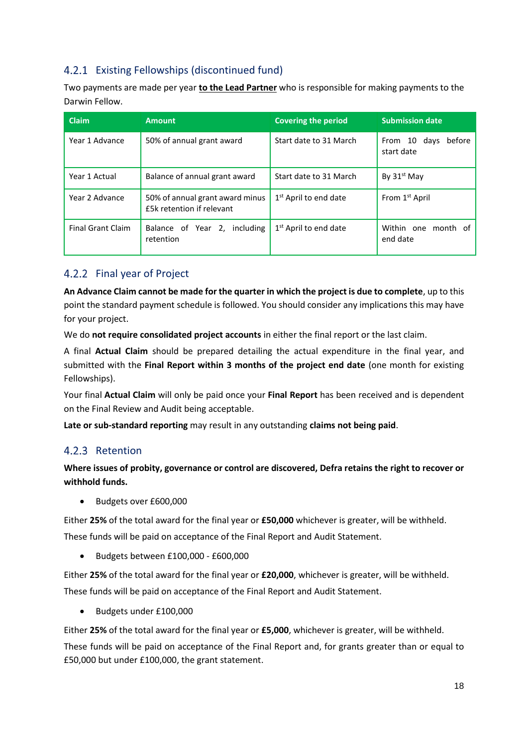#### 4.2.1 Existing Fellowships (discontinued fund)

Two payments are made per year **to the Lead Partner** who is responsible for making payments to the Darwin Fellow.

| <b>Claim</b>             | <b>Amount</b>                                                | <b>Covering the period</b>        | <b>Submission date</b>               |
|--------------------------|--------------------------------------------------------------|-----------------------------------|--------------------------------------|
| Year 1 Advance           | 50% of annual grant award                                    | Start date to 31 March            | From 10 days<br>before<br>start date |
| Year 1 Actual            | Balance of annual grant award                                | Start date to 31 March            | By $31st$ May                        |
| Year 2 Advance           | 50% of annual grant award minus<br>£5k retention if relevant | $1st$ April to end date           | From 1 <sup>st</sup> April           |
| <b>Final Grant Claim</b> | including<br>Balance of Year 2,<br>retention                 | 1 <sup>st</sup> April to end date | Within one month of<br>end date      |

#### 4.2.2 Final year of Project

**An Advance Claim cannot be made for the quarter in which the project is due to complete**, up to this point the standard payment schedule is followed. You should consider any implications this may have for your project.

We do **not require consolidated project accounts** in either the final report or the last claim.

A final **Actual Claim** should be prepared detailing the actual expenditure in the final year, and submitted with the **Final Report within 3 months of the project end date** (one month for existing Fellowships).

Your final **Actual Claim** will only be paid once your **Final Report** has been received and is dependent on the Final Review and Audit being acceptable.

**Late or sub-standard reporting** may result in any outstanding **claims not being paid**.

#### 4.2.3 Retention

**Where issues of probity, governance or control are discovered, Defra retains the right to recover or withhold funds.**

• Budgets over £600,000

Either **25%** of the total award for the final year or **£50,000** whichever is greater, will be withheld.

These funds will be paid on acceptance of the Final Report and Audit Statement.

• Budgets between £100,000 - £600,000

Either **25%** of the total award for the final year or **£20,000**, whichever is greater, will be withheld. These funds will be paid on acceptance of the Final Report and Audit Statement.

• Budgets under £100,000

Either **25%** of the total award for the final year or **£5,000**, whichever is greater, will be withheld.

These funds will be paid on acceptance of the Final Report and, for grants greater than or equal to £50,000 but under £100,000, the grant statement.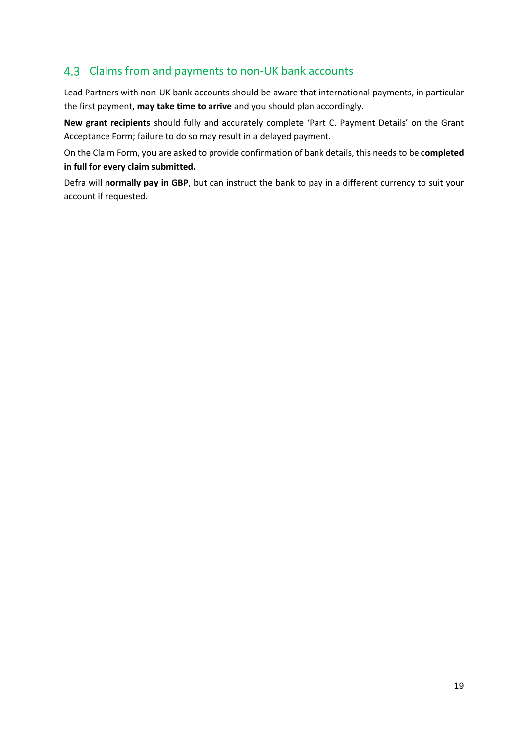#### <span id="page-19-0"></span>4.3 Claims from and payments to non-UK bank accounts

Lead Partners with non-UK bank accounts should be aware that international payments, in particular the first payment, **may take time to arrive** and you should plan accordingly.

**New grant recipients** should fully and accurately complete 'Part C. Payment Details' on the Grant Acceptance Form; failure to do so may result in a delayed payment.

On the Claim Form, you are asked to provide confirmation of bank details, this needs to be **completed in full for every claim submitted.**

Defra will **normally pay in GBP**, but can instruct the bank to pay in a different currency to suit your account if requested.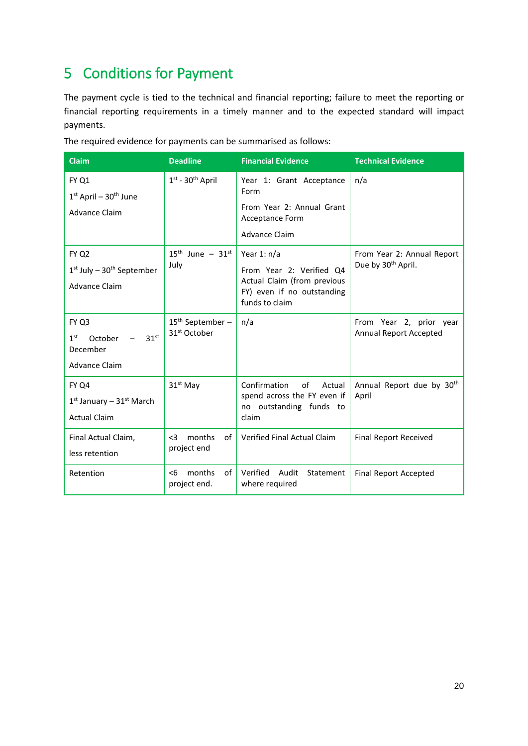### <span id="page-20-0"></span>5 Conditions for Payment

The payment cycle is tied to the technical and financial reporting; failure to meet the reporting or financial reporting requirements in a timely manner and to the expected standard will impact payments.

| <b>Claim</b>                                                                                | <b>Deadline</b>                                | <b>Financial Evidence</b>                                                                                                | <b>Technical Evidence</b>                                    |
|---------------------------------------------------------------------------------------------|------------------------------------------------|--------------------------------------------------------------------------------------------------------------------------|--------------------------------------------------------------|
| FY Q1<br>$1st$ April – 30 <sup>th</sup> June<br><b>Advance Claim</b>                        | $1st - 30th$ April                             | Year 1: Grant Acceptance<br>Form<br>From Year 2: Annual Grant<br>Acceptance Form<br><b>Advance Claim</b>                 | n/a                                                          |
| <b>FY Q2</b><br>$1st$ July – $30th$ September<br>Advance Claim                              | $15^{th}$ June - $31^{st}$<br>July             | Year 1: $n/a$<br>From Year 2: Verified Q4<br>Actual Claim (from previous<br>FY) even if no outstanding<br>funds to claim | From Year 2: Annual Report<br>Due by 30 <sup>th</sup> April. |
| FY Q3<br>1 <sup>st</sup><br>31 <sup>st</sup><br>October<br>December<br><b>Advance Claim</b> | $15th$ September –<br>31 <sup>st</sup> October | n/a                                                                                                                      | From Year 2, prior year<br>Annual Report Accepted            |
| FY Q4<br>$1st$ January – $31st$ March<br><b>Actual Claim</b>                                | $31st$ May                                     | Confirmation<br>of<br>Actual<br>spend across the FY even if<br>no outstanding funds to<br>claim                          | Annual Report due by 30th<br>April                           |
| Final Actual Claim,<br>less retention                                                       | months<br>of<br>$3$<br>project end             | Verified Final Actual Claim                                                                                              | <b>Final Report Received</b>                                 |
| Retention                                                                                   | months<br>of<br>$<$ 6<br>project end.          | Verified<br>Audit<br>Statement<br>where required                                                                         | <b>Final Report Accepted</b>                                 |

The required evidence for payments can be summarised as follows: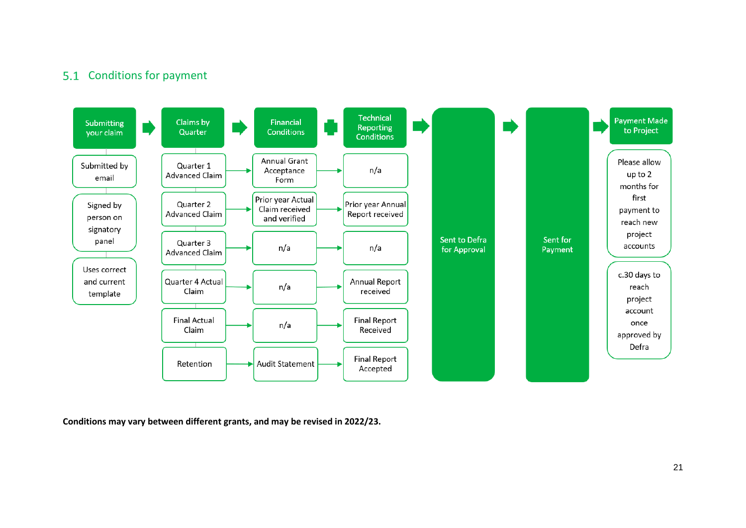#### 5.1 Conditions for payment



<span id="page-21-0"></span>**Conditions may vary between different grants, and may be revised in 2022/23.**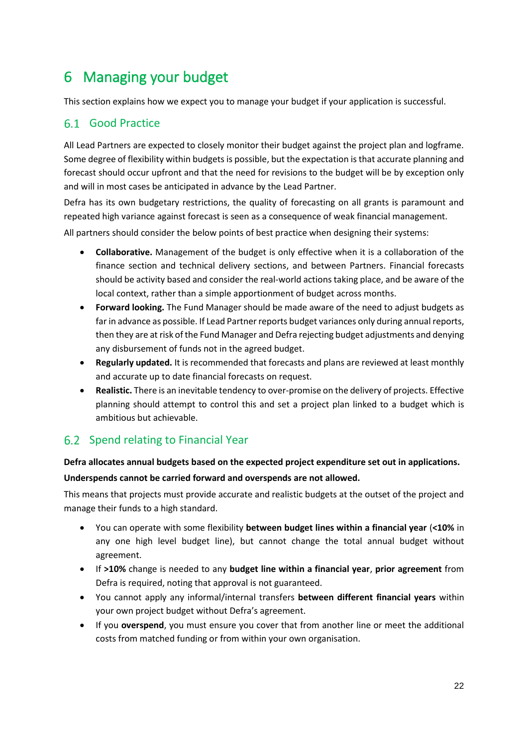### <span id="page-22-0"></span>6 Managing your budget

This section explains how we expect you to manage your budget if your application is successful.

#### <span id="page-22-1"></span>Good Practice

All Lead Partners are expected to closely monitor their budget against the project plan and logframe. Some degree of flexibility within budgets is possible, but the expectation is that accurate planning and forecast should occur upfront and that the need for revisions to the budget will be by exception only and will in most cases be anticipated in advance by the Lead Partner.

Defra has its own budgetary restrictions, the quality of forecasting on all grants is paramount and repeated high variance against forecast is seen as a consequence of weak financial management.

All partners should consider the below points of best practice when designing their systems:

- **Collaborative.** Management of the budget is only effective when it is a collaboration of the finance section and technical delivery sections, and between Partners. Financial forecasts should be activity based and consider the real-world actions taking place, and be aware of the local context, rather than a simple apportionment of budget across months.
- **Forward looking.** The Fund Manager should be made aware of the need to adjust budgets as far in advance as possible. If Lead Partner reports budget variances only during annual reports, then they are at risk of the Fund Manager and Defra rejecting budget adjustments and denying any disbursement of funds not in the agreed budget.
- **Regularly updated.** It is recommended that forecasts and plans are reviewed at least monthly and accurate up to date financial forecasts on request.
- **Realistic.** There is an inevitable tendency to over-promise on the delivery of projects. Effective planning should attempt to control this and set a project plan linked to a budget which is ambitious but achievable.

#### <span id="page-22-2"></span>6.2 Spend relating to Financial Year

### **Defra allocates annual budgets based on the expected project expenditure set out in applications.**

#### **Underspends cannot be carried forward and overspends are not allowed.**

This means that projects must provide accurate and realistic budgets at the outset of the project and manage their funds to a high standard.

- You can operate with some flexibility **between budget lines within a financial year** (**<10%** in any one high level budget line), but cannot change the total annual budget without agreement.
- If **>10%** change is needed to any **budget line within a financial year**, **prior agreement** from Defra is required, noting that approval is not guaranteed.
- You cannot apply any informal/internal transfers **between different financial years** within your own project budget without Defra's agreement.
- If you **overspend**, you must ensure you cover that from another line or meet the additional costs from matched funding or from within your own organisation.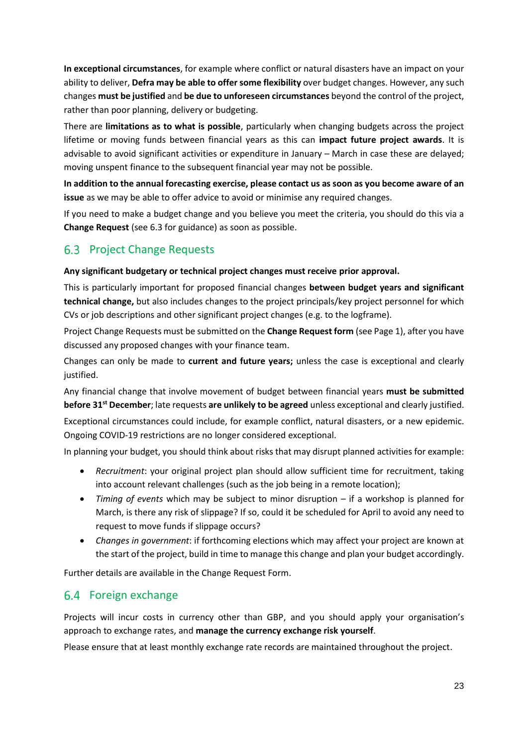**In exceptional circumstances**, for example where conflict or natural disasters have an impact on your ability to deliver, **Defra may be able to offer some flexibility** over budget changes. However, any such changes **must be justified** and **be due to unforeseen circumstances** beyond the control of the project, rather than poor planning, delivery or budgeting.

There are **limitations as to what is possible**, particularly when changing budgets across the project lifetime or moving funds between financial years as this can **impact future project awards**. It is advisable to avoid significant activities or expenditure in January – March in case these are delayed; moving unspent finance to the subsequent financial year may not be possible.

**In addition to the annual forecasting exercise, please contact us as soon as you become aware of an issue** as we may be able to offer advice to avoid or minimise any required changes.

If you need to make a budget change and you believe you meet the criteria, you should do this via a **Change Request** (see [6.3](#page-23-0) for guidance) as soon as possible.

#### <span id="page-23-0"></span>6.3 Project Change Requests

#### **Any significant budgetary or technical project changes must receive prior approval.**

This is particularly important for proposed financial changes **between budget years and significant technical change,** but also includes changes to the project principals/key project personnel for which CVs or job descriptions and other significant project changes (e.g. to the logframe).

Project Change Requests must be submitted on the **Change Request form** (see Page 1), after you have discussed any proposed changes with your finance team.

Changes can only be made to **current and future years;** unless the case is exceptional and clearly justified.

Any financial change that involve movement of budget between financial years **must be submitted before 31st December**; late requests **are unlikely to be agreed** unless exceptional and clearly justified.

Exceptional circumstances could include, for example conflict, natural disasters, or a new epidemic. Ongoing COVID-19 restrictions are no longer considered exceptional.

In planning your budget, you should think about risks that may disrupt planned activities for example:

- *Recruitment*: your original project plan should allow sufficient time for recruitment, taking into account relevant challenges (such as the job being in a remote location);
- *Timing of events* which may be subject to minor disruption if a workshop is planned for March, is there any risk of slippage? If so, could it be scheduled for April to avoid any need to request to move funds if slippage occurs?
- *Changes in government*: if forthcoming elections which may affect your project are known at the start of the project, build in time to manage this change and plan your budget accordingly.

Further details are available in the Change Request Form.

#### <span id="page-23-1"></span>6.4 Foreign exchange

Projects will incur costs in currency other than GBP, and you should apply your organisation's approach to exchange rates, and **manage the currency exchange risk yourself**.

Please ensure that at least monthly exchange rate records are maintained throughout the project.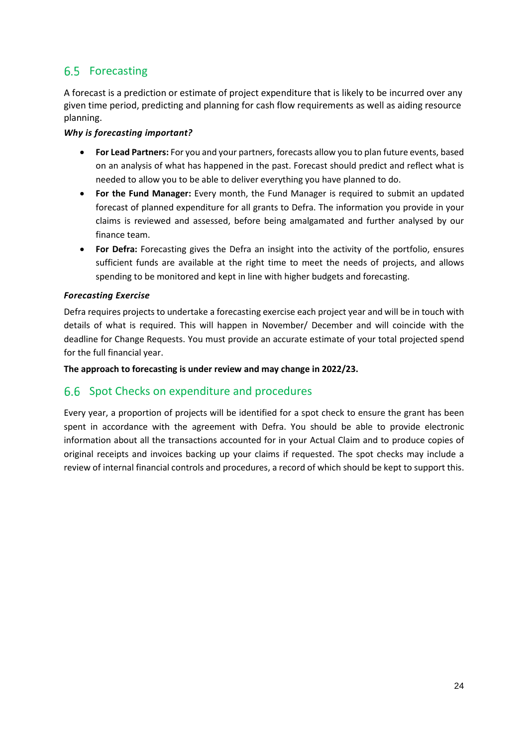#### <span id="page-24-0"></span>6.5 Forecasting

A forecast is a prediction or estimate of project expenditure that is likely to be incurred over any given time period, predicting and planning for cash flow requirements as well as aiding resource planning.

#### *Why is forecasting important?*

- **For Lead Partners:** For you and your partners, forecasts allow you to plan future events, based on an analysis of what has happened in the past. Forecast should predict and reflect what is needed to allow you to be able to deliver everything you have planned to do.
- **For the Fund Manager:** Every month, the Fund Manager is required to submit an updated forecast of planned expenditure for all grants to Defra. The information you provide in your claims is reviewed and assessed, before being amalgamated and further analysed by our finance team.
- **For Defra:** Forecasting gives the Defra an insight into the activity of the portfolio, ensures sufficient funds are available at the right time to meet the needs of projects, and allows spending to be monitored and kept in line with higher budgets and forecasting.

#### *Forecasting Exercise*

Defra requires projects to undertake a forecasting exercise each project year and will be in touch with details of what is required. This will happen in November/ December and will coincide with the deadline for Change Requests. You must provide an accurate estimate of your total projected spend for the full financial year.

**The approach to forecasting is under review and may change in 2022/23.**

#### <span id="page-24-1"></span>6.6 Spot Checks on expenditure and procedures

Every year, a proportion of projects will be identified for a spot check to ensure the grant has been spent in accordance with the agreement with Defra. You should be able to provide electronic information about all the transactions accounted for in your Actual Claim and to produce copies of original receipts and invoices backing up your claims if requested. The spot checks may include a review of internal financial controls and procedures, a record of which should be kept to support this.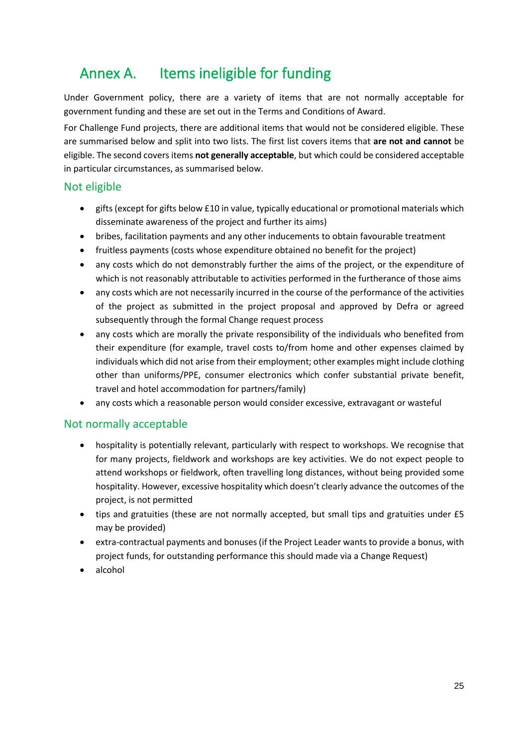### <span id="page-25-0"></span>Annex A. Items ineligible for funding

Under Government policy, there are a variety of items that are not normally acceptable for government funding and these are set out in the Terms and Conditions of Award.

For Challenge Fund projects, there are additional items that would not be considered eligible. These are summarised below and split into two lists. The first list covers items that **are not and cannot** be eligible. The second covers items **not generally acceptable**, but which could be considered acceptable in particular circumstances, as summarised below.

#### Not eligible

- gifts (except for gifts below £10 in value, typically educational or promotional materials which disseminate awareness of the project and further its aims)
- bribes, facilitation payments and any other inducements to obtain favourable treatment
- fruitless payments (costs whose expenditure obtained no benefit for the project)
- any costs which do not demonstrably further the aims of the project, or the expenditure of which is not reasonably attributable to activities performed in the furtherance of those aims
- any costs which are not necessarily incurred in the course of the performance of the activities of the project as submitted in the project proposal and approved by Defra or agreed subsequently through the formal Change request process
- any costs which are morally the private responsibility of the individuals who benefited from their expenditure (for example, travel costs to/from home and other expenses claimed by individuals which did not arise from their employment; other examples might include clothing other than uniforms/PPE, consumer electronics which confer substantial private benefit, travel and hotel accommodation for partners/family)
- any costs which a reasonable person would consider excessive, extravagant or wasteful

#### Not normally acceptable

- hospitality is potentially relevant, particularly with respect to workshops. We recognise that for many projects, fieldwork and workshops are key activities. We do not expect people to attend workshops or fieldwork, often travelling long distances, without being provided some hospitality. However, excessive hospitality which doesn't clearly advance the outcomes of the project, is not permitted
- tips and gratuities (these are not normally accepted, but small tips and gratuities under £5 may be provided)
- extra-contractual payments and bonuses (if the Project Leader wants to provide a bonus, with project funds, for outstanding performance this should made via a Change Request)
- alcohol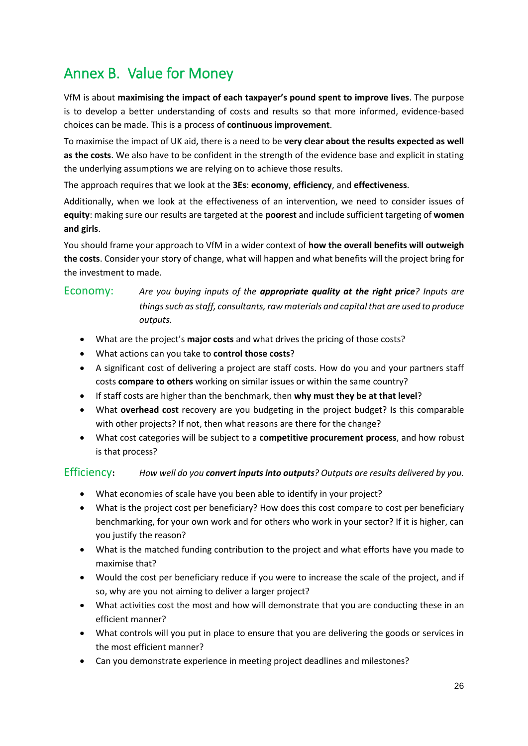### <span id="page-26-0"></span>Annex B. Value for Money

VfM is about **maximising the impact of each taxpayer's pound spent to improve lives**. The purpose is to develop a better understanding of costs and results so that more informed, evidence-based choices can be made. This is a process of **continuous improvement**.

To maximise the impact of UK aid, there is a need to be **very clear about the results expected as well as the costs**. We also have to be confident in the strength of the evidence base and explicit in stating the underlying assumptions we are relying on to achieve those results.

The approach requires that we look at the **3Es**: **economy**, **efficiency**, and **effectiveness**.

Additionally, when we look at the effectiveness of an intervention, we need to consider issues of **equity**: making sure our results are targeted at the **poorest** and include sufficient targeting of **women and girls**.

You should frame your approach to VfM in a wider context of **how the overall benefits will outweigh the costs**. Consider your story of change, what will happen and what benefits will the project bring for the investment to made.

#### Economy: *Are you buying inputs of the appropriate quality at the right price? Inputs are things such as staff, consultants, raw materials and capital that are used to produce outputs.*

- What are the project's **major costs** and what drives the pricing of those costs?
- What actions can you take to **control those costs**?
- A significant cost of delivering a project are staff costs. How do you and your partners staff costs **compare to others** working on similar issues or within the same country?
- If staff costs are higher than the benchmark, then **why must they be at that level**?
- What **overhead cost** recovery are you budgeting in the project budget? Is this comparable with other projects? If not, then what reasons are there for the change?
- What cost categories will be subject to a **competitive procurement process**, and how robust is that process?

#### Efficiency**:** *How well do you convert inputs into outputs? Outputs are results delivered by you.*

- What economies of scale have you been able to identify in your project?
- What is the project cost per beneficiary? How does this cost compare to cost per beneficiary benchmarking, for your own work and for others who work in your sector? If it is higher, can you justify the reason?
- What is the matched funding contribution to the project and what efforts have you made to maximise that?
- Would the cost per beneficiary reduce if you were to increase the scale of the project, and if so, why are you not aiming to deliver a larger project?
- What activities cost the most and how will demonstrate that you are conducting these in an efficient manner?
- What controls will you put in place to ensure that you are delivering the goods or services in the most efficient manner?
- Can you demonstrate experience in meeting project deadlines and milestones?